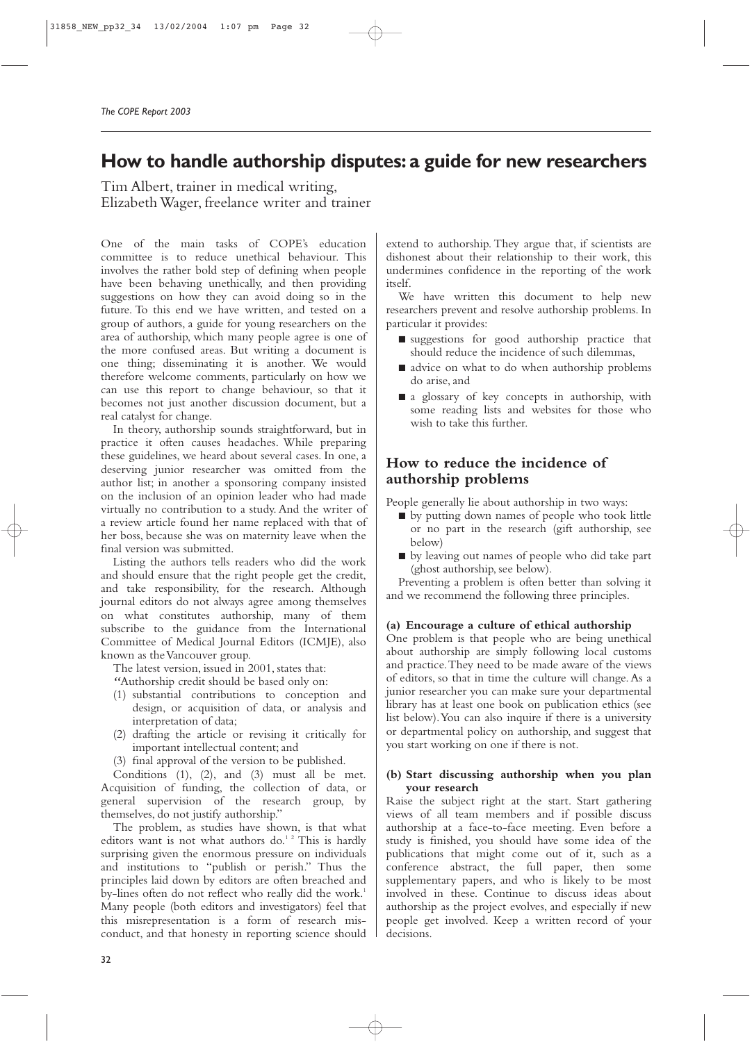# **How to handle authorship disputes: a guide for new researchers**

Tim Albert, trainer in medical writing, Elizabeth Wager, freelance writer and trainer

One of the main tasks of COPE's education committee is to reduce unethical behaviour. This involves the rather bold step of defining when people have been behaving unethically, and then providing suggestions on how they can avoid doing so in the future. To this end we have written, and tested on a group of authors, a guide for young researchers on the area of authorship, which many people agree is one of the more confused areas. But writing a document is one thing; disseminating it is another. We would therefore welcome comments, particularly on how we can use this report to change behaviour, so that it becomes not just another discussion document, but a real catalyst for change.

In theory, authorship sounds straightforward, but in practice it often causes headaches. While preparing these guidelines, we heard about several cases. In one, a deserving junior researcher was omitted from the author list; in another a sponsoring company insisted on the inclusion of an opinion leader who had made virtually no contribution to a study. And the writer of a review article found her name replaced with that of her boss, because she was on maternity leave when the final version was submitted.

Listing the authors tells readers who did the work and should ensure that the right people get the credit, and take responsibility, for the research. Although journal editors do not always agree among themselves on what constitutes authorship, many of them subscribe to the guidance from the International Committee of Medical Journal Editors (ICMJE), also known as the Vancouver group.

The latest version, issued in 2001, states that:

- *"*Authorship credit should be based only on:
- (1) substantial contributions to conception and design, or acquisition of data, or analysis and interpretation of data;
- (2) drafting the article or revising it critically for important intellectual content; and
- (3) final approval of the version to be published.

Conditions (1), (2), and (3) must all be met. Acquisition of funding, the collection of data, or general supervision of the research group, by themselves, do not justify authorship."

The problem, as studies have shown, is that what editors want is not what authors do.<sup>12</sup> This is hardly surprising given the enormous pressure on individuals and institutions to "publish or perish." Thus the principles laid down by editors are often breached and by-lines often do not reflect who really did the work.<sup>1</sup> Many people (both editors and investigators) feel that this misrepresentation is a form of research misconduct, and that honesty in reporting science should extend to authorship. They argue that, if scientists are dishonest about their relationship to their work, this undermines confidence in the reporting of the work itself.

We have written this document to help new researchers prevent and resolve authorship problems. In particular it provides:

- suggestions for good authorship practice that should reduce the incidence of such dilemmas,
- advice on what to do when authorship problems do arise, and
- a glossary of key concepts in authorship, with some reading lists and websites for those who wish to take this further.

### **How to reduce the incidence of authorship problems**

People generally lie about authorship in two ways:

- by putting down names of people who took little or no part in the research (gift authorship, see below)
- by leaving out names of people who did take part (ghost authorship, see below).

Preventing a problem is often better than solving it and we recommend the following three principles.

#### **(a) Encourage a culture of ethical authorship**

One problem is that people who are being unethical about authorship are simply following local customs and practice.They need to be made aware of the views of editors, so that in time the culture will change. As a junior researcher you can make sure your departmental library has at least one book on publication ethics (see list below).You can also inquire if there is a university or departmental policy on authorship, and suggest that you start working on one if there is not.

#### **(b) Start discussing authorship when you plan your research**

Raise the subject right at the start. Start gathering views of all team members and if possible discuss authorship at a face-to-face meeting. Even before a study is finished, you should have some idea of the publications that might come out of it, such as a conference abstract, the full paper, then some supplementary papers, and who is likely to be most involved in these. Continue to discuss ideas about authorship as the project evolves, and especially if new people get involved. Keep a written record of your decisions.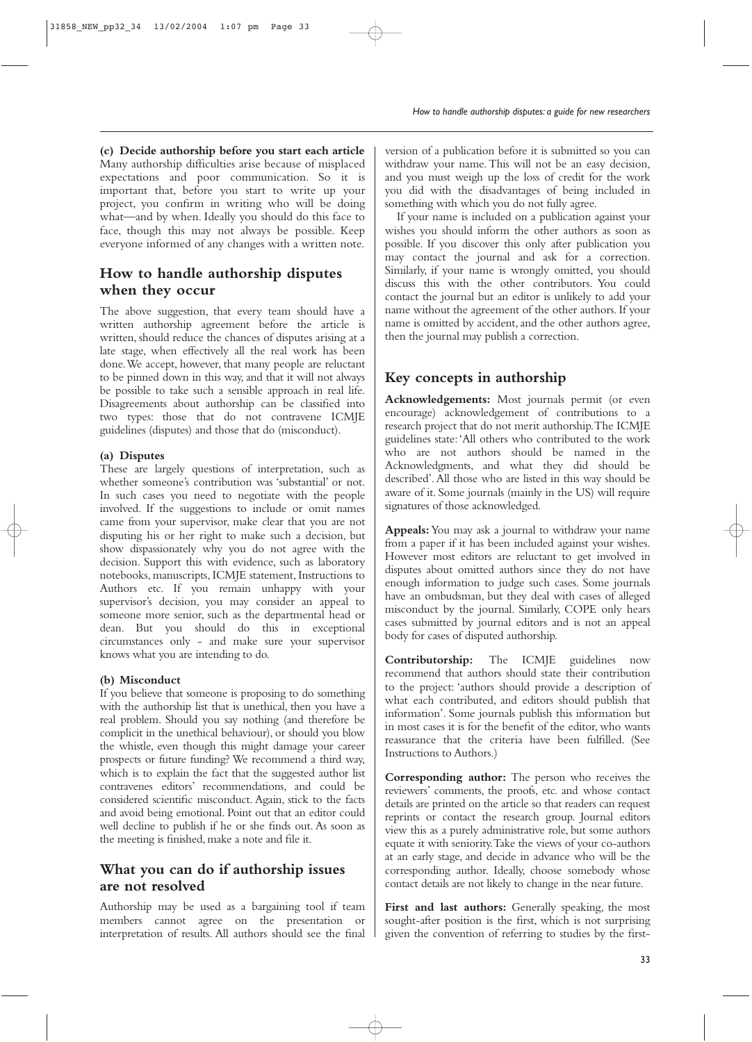**(c) Decide authorship before you start each article** Many authorship difficulties arise because of misplaced expectations and poor communication. So it is important that, before you start to write up your project, you confirm in writing who will be doing what—and by when. Ideally you should do this face to face, though this may not always be possible. Keep everyone informed of any changes with a written note.

### **How to handle authorship disputes when they occur**

The above suggestion, that every team should have a written authorship agreement before the article is written, should reduce the chances of disputes arising at a late stage, when effectively all the real work has been done.We accept, however, that many people are reluctant to be pinned down in this way, and that it will not always be possible to take such a sensible approach in real life. Disagreements about authorship can be classified into two types: those that do not contravene ICMJE guidelines (disputes) and those that do (misconduct).

### **(a) Disputes**

These are largely questions of interpretation, such as whether someone's contribution was 'substantial' or not. In such cases you need to negotiate with the people involved. If the suggestions to include or omit names came from your supervisor, make clear that you are not disputing his or her right to make such a decision, but show dispassionately why you do not agree with the decision. Support this with evidence, such as laboratory notebooks, manuscripts, ICMJE statement, Instructions to Authors etc. If you remain unhappy with your supervisor's decision, you may consider an appeal to someone more senior, such as the departmental head or dean. But you should do this in exceptional circumstances only - and make sure your supervisor knows what you are intending to do.

#### **(b) Misconduct**

If you believe that someone is proposing to do something with the authorship list that is unethical, then you have a real problem. Should you say nothing (and therefore be complicit in the unethical behaviour), or should you blow the whistle, even though this might damage your career prospects or future funding? We recommend a third way, which is to explain the fact that the suggested author list contravenes editors' recommendations, and could be considered scientific misconduct. Again, stick to the facts and avoid being emotional. Point out that an editor could well decline to publish if he or she finds out. As soon as the meeting is finished, make a note and file it.

### **What you can do if authorship issues are not resolved**

Authorship may be used as a bargaining tool if team members cannot agree on the presentation or interpretation of results. All authors should see the final

version of a publication before it is submitted so you can withdraw your name. This will not be an easy decision, and you must weigh up the loss of credit for the work you did with the disadvantages of being included in something with which you do not fully agree.

If your name is included on a publication against your wishes you should inform the other authors as soon as possible. If you discover this only after publication you may contact the journal and ask for a correction. Similarly, if your name is wrongly omitted, you should discuss this with the other contributors. You could contact the journal but an editor is unlikely to add your name without the agreement of the other authors. If your name is omitted by accident, and the other authors agree, then the journal may publish a correction.

## **Key concepts in authorship**

**Acknowledgements:** Most journals permit (or even encourage) acknowledgement of contributions to a research project that do not merit authorship.The ICMJE guidelines state:'All others who contributed to the work who are not authors should be named in the Acknowledgments, and what they did should be described'.All those who are listed in this way should be aware of it. Some journals (mainly in the US) will require signatures of those acknowledged.

**Appeals:**You may ask a journal to withdraw your name from a paper if it has been included against your wishes. However most editors are reluctant to get involved in disputes about omitted authors since they do not have enough information to judge such cases. Some journals have an ombudsman, but they deal with cases of alleged misconduct by the journal. Similarly, COPE only hears cases submitted by journal editors and is not an appeal body for cases of disputed authorship.

**Contributorship:** The ICMJE guidelines now recommend that authors should state their contribution to the project: 'authors should provide a description of what each contributed, and editors should publish that information'. Some journals publish this information but in most cases it is for the benefit of the editor, who wants reassurance that the criteria have been fulfilled. (See Instructions to Authors.)

**Corresponding author:** The person who receives the reviewers' comments, the proofs, etc. and whose contact details are printed on the article so that readers can request reprints or contact the research group. Journal editors view this as a purely administrative role, but some authors equate it with seniority.Take the views of your co-authors at an early stage, and decide in advance who will be the corresponding author. Ideally, choose somebody whose contact details are not likely to change in the near future.

First and last authors: Generally speaking, the most sought-after position is the first, which is not surprising given the convention of referring to studies by the first